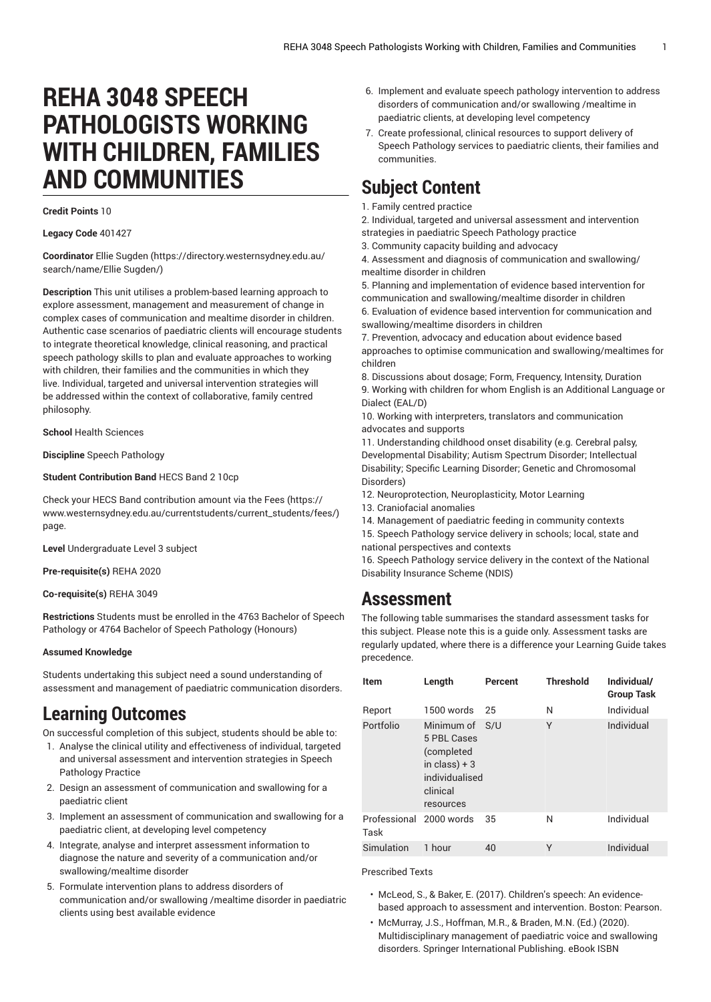# **REHA 3048 SPEECH PATHOLOGISTS WORKING WITH CHILDREN, FAMILIES AND COMMUNITIES**

#### **Credit Points** 10

**Legacy Code** 401427

**Coordinator** [Ellie Sugden \(https://directory.westernsydney.edu.au/](https://directory.westernsydney.edu.au/search/name/Ellie Sugden/) [search/name/Ellie](https://directory.westernsydney.edu.au/search/name/Ellie Sugden/) Sugden/)

**Description** This unit utilises a problem-based learning approach to explore assessment, management and measurement of change in complex cases of communication and mealtime disorder in children. Authentic case scenarios of paediatric clients will encourage students to integrate theoretical knowledge, clinical reasoning, and practical speech pathology skills to plan and evaluate approaches to working with children, their families and the communities in which they live. Individual, targeted and universal intervention strategies will be addressed within the context of collaborative, family centred philosophy.

**School** Health Sciences

**Discipline** Speech Pathology

**Student Contribution Band** HECS Band 2 10cp

Check your HECS Band contribution amount via the [Fees \(https://](https://www.westernsydney.edu.au/currentstudents/current_students/fees/) [www.westernsydney.edu.au/currentstudents/current\\_students/fees/\)](https://www.westernsydney.edu.au/currentstudents/current_students/fees/) page.

**Level** Undergraduate Level 3 subject

**Pre-requisite(s)** [REHA](/search/?P=REHA%202020) 2020

**Co-requisite(s)** [REHA](/search/?P=REHA%203049) 3049

**Restrictions** Students must be enrolled in the 4763 Bachelor of Speech Pathology or 4764 Bachelor of Speech Pathology (Honours)

#### **Assumed Knowledge**

Students undertaking this subject need a sound understanding of assessment and management of paediatric communication disorders.

### **Learning Outcomes**

On successful completion of this subject, students should be able to:

- 1. Analyse the clinical utility and effectiveness of individual, targeted and universal assessment and intervention strategies in Speech Pathology Practice
- 2. Design an assessment of communication and swallowing for a paediatric client
- 3. Implement an assessment of communication and swallowing for a paediatric client, at developing level competency
- 4. Integrate, analyse and interpret assessment information to diagnose the nature and severity of a communication and/or swallowing/mealtime disorder
- 5. Formulate intervention plans to address disorders of communication and/or swallowing /mealtime disorder in paediatric clients using best available evidence
- 6. Implement and evaluate speech pathology intervention to address disorders of communication and/or swallowing /mealtime in paediatric clients, at developing level competency
- 7. Create professional, clinical resources to support delivery of Speech Pathology services to paediatric clients, their families and communities.

## **Subject Content**

- 1. Family centred practice
- 2. Individual, targeted and universal assessment and intervention
- strategies in paediatric Speech Pathology practice
- 3. Community capacity building and advocacy

4. Assessment and diagnosis of communication and swallowing/ mealtime disorder in children

5. Planning and implementation of evidence based intervention for communication and swallowing/mealtime disorder in children 6. Evaluation of evidence based intervention for communication and swallowing/mealtime disorders in children

7. Prevention, advocacy and education about evidence based approaches to optimise communication and swallowing/mealtimes for children

8. Discussions about dosage; Form, Frequency, Intensity, Duration 9. Working with children for whom English is an Additional Language or Dialect (EAL/D)

10. Working with interpreters, translators and communication advocates and supports

11. Understanding childhood onset disability (e.g. Cerebral palsy, Developmental Disability; Autism Spectrum Disorder; Intellectual Disability; Specific Learning Disorder; Genetic and Chromosomal Disorders)

12. Neuroprotection, Neuroplasticity, Motor Learning

- 13. Craniofacial anomalies
- 14. Management of paediatric feeding in community contexts

15. Speech Pathology service delivery in schools; local, state and national perspectives and contexts

16. Speech Pathology service delivery in the context of the National Disability Insurance Scheme (NDIS)

### **Assessment**

The following table summarises the standard assessment tasks for this subject. Please note this is a guide only. Assessment tasks are regularly updated, where there is a difference your Learning Guide takes precedence.

| <b>Item</b>                     | Length                                                                                                   | <b>Percent</b> | <b>Threshold</b> | Individual/<br><b>Group Task</b> |
|---------------------------------|----------------------------------------------------------------------------------------------------------|----------------|------------------|----------------------------------|
| Report                          | 1500 words                                                                                               | 25             | N                | Individual                       |
| Portfolio                       | Minimum of S/U<br>5 PBL Cases<br>(completed<br>in class) $+3$<br>individualised<br>clinical<br>resources |                | Υ                | Individual                       |
| Professional 2000 words<br>Task |                                                                                                          | 35             | N                | Individual                       |
| Simulation                      | 1 hour                                                                                                   | 40             | Υ                | Individual                       |

Prescribed Texts

- McLeod, S., & Baker, E. (2017). Children's speech: An evidencebased approach to assessment and intervention. Boston: Pearson.
- McMurray, J.S., Hoffman, M.R., & Braden, M.N. (Ed.) (2020). Multidisciplinary management of paediatric voice and swallowing disorders. Springer International Publishing. eBook ISBN